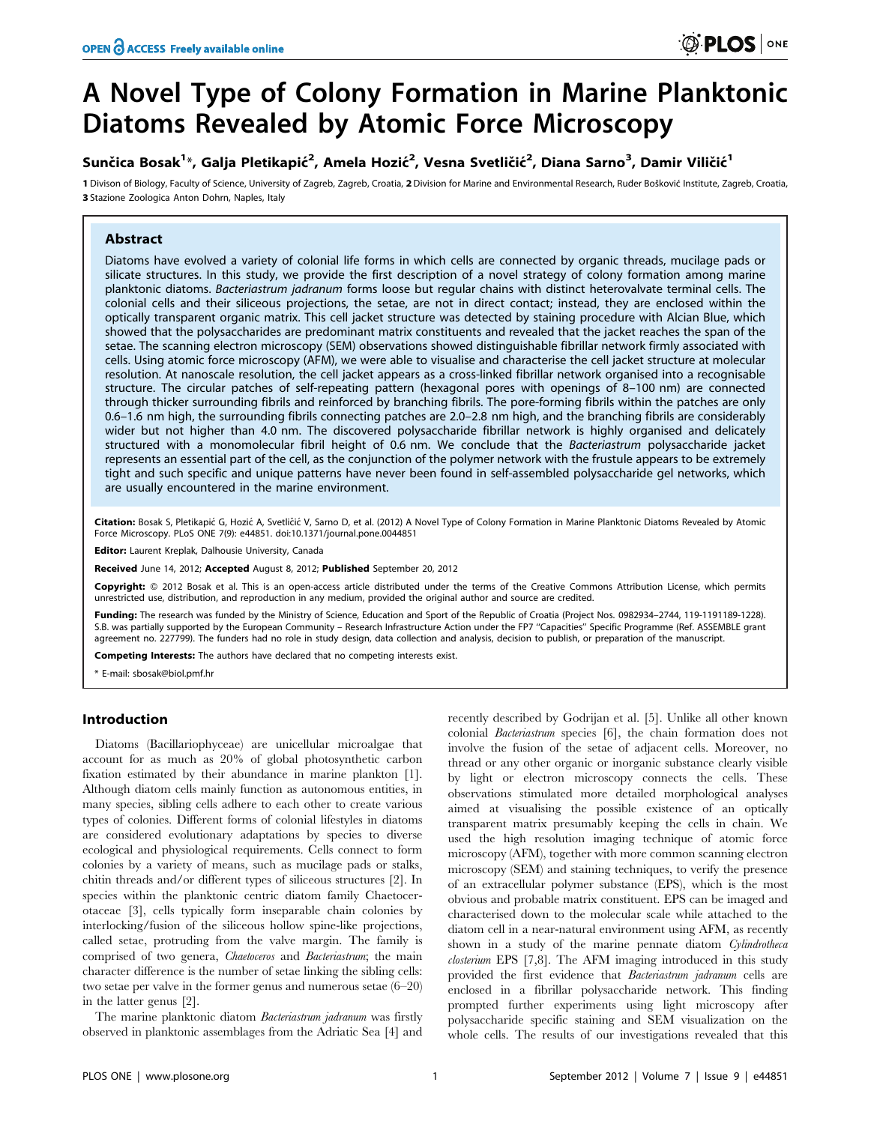# A Novel Type of Colony Formation in Marine Planktonic Diatoms Revealed by Atomic Force Microscopy

# Sunčica Bosak<sup>1</sup>\*, Galja Pletikapić<sup>2</sup>, Amela Hozić<sup>2</sup>, Vesna Svetličić<sup>2</sup>, Diana Sarno<sup>3</sup>, Damir Viličić<sup>1</sup>

1 Divison of Biology, Faculty of Science, University of Zagreb, Zagreb, Croatia, 2 Division for Marine and Environmental Research, Ruder Bošković Institute, Zagreb, Croatia, 3 Stazione Zoologica Anton Dohrn, Naples, Italy

# Abstract

Diatoms have evolved a variety of colonial life forms in which cells are connected by organic threads, mucilage pads or silicate structures. In this study, we provide the first description of a novel strategy of colony formation among marine planktonic diatoms. Bacteriastrum jadranum forms loose but regular chains with distinct heterovalvate terminal cells. The colonial cells and their siliceous projections, the setae, are not in direct contact; instead, they are enclosed within the optically transparent organic matrix. This cell jacket structure was detected by staining procedure with Alcian Blue, which showed that the polysaccharides are predominant matrix constituents and revealed that the jacket reaches the span of the setae. The scanning electron microscopy (SEM) observations showed distinguishable fibrillar network firmly associated with cells. Using atomic force microscopy (AFM), we were able to visualise and characterise the cell jacket structure at molecular resolution. At nanoscale resolution, the cell jacket appears as a cross-linked fibrillar network organised into a recognisable structure. The circular patches of self-repeating pattern (hexagonal pores with openings of 8–100 nm) are connected through thicker surrounding fibrils and reinforced by branching fibrils. The pore-forming fibrils within the patches are only 0.6–1.6 nm high, the surrounding fibrils connecting patches are 2.0–2.8 nm high, and the branching fibrils are considerably wider but not higher than 4.0 nm. The discovered polysaccharide fibrillar network is highly organised and delicately structured with a monomolecular fibril height of 0.6 nm. We conclude that the Bacteriastrum polysaccharide jacket represents an essential part of the cell, as the conjunction of the polymer network with the frustule appears to be extremely tight and such specific and unique patterns have never been found in self-assembled polysaccharide gel networks, which are usually encountered in the marine environment.

Citation: Bosak S, Pletikapić G, Hozić A, Svetličić V, Sarno D, et al. (2012) A Novel Type of Colony Formation in Marine Planktonic Diatoms Revealed by Atomic Force Microscopy. PLoS ONE 7(9): e44851. doi:10.1371/journal.pone.0044851

Editor: Laurent Kreplak, Dalhousie University, Canada

Received June 14, 2012; Accepted August 8, 2012; Published September 20, 2012

Copyright: © 2012 Bosak et al. This is an open-access article distributed under the terms of the Creative Commons Attribution License, which permits unrestricted use, distribution, and reproduction in any medium, provided the original author and source are credited.

Funding: The research was funded by the Ministry of Science, Education and Sport of the Republic of Croatia (Project Nos. 0982934-2744, 119-1191189-1228). S.B. was partially supported by the European Community – Research Infrastructure Action under the FP7 "Capacities" Specific Programme (Ref. ASSEMBLE grant<br>agreement no. 227799). The funders had no role in study design, dat

Competing Interests: The authors have declared that no competing interests exist.

\* E-mail: sbosak@biol.pmf.hr

## Introduction

Diatoms (Bacillariophyceae) are unicellular microalgae that account for as much as 20% of global photosynthetic carbon fixation estimated by their abundance in marine plankton [1]. Although diatom cells mainly function as autonomous entities, in many species, sibling cells adhere to each other to create various types of colonies. Different forms of colonial lifestyles in diatoms are considered evolutionary adaptations by species to diverse ecological and physiological requirements. Cells connect to form colonies by a variety of means, such as mucilage pads or stalks, chitin threads and/or different types of siliceous structures [2]. In species within the planktonic centric diatom family Chaetocerotaceae [3], cells typically form inseparable chain colonies by interlocking/fusion of the siliceous hollow spine-like projections, called setae, protruding from the valve margin. The family is comprised of two genera, Chaetoceros and Bacteriastrum; the main character difference is the number of setae linking the sibling cells: two setae per valve in the former genus and numerous setae (6–20) in the latter genus [2].

The marine planktonic diatom Bacteriastrum jadranum was firstly observed in planktonic assemblages from the Adriatic Sea [4] and recently described by Godrijan et al. [5]. Unlike all other known colonial Bacteriastrum species [6], the chain formation does not involve the fusion of the setae of adjacent cells. Moreover, no thread or any other organic or inorganic substance clearly visible by light or electron microscopy connects the cells. These observations stimulated more detailed morphological analyses aimed at visualising the possible existence of an optically transparent matrix presumably keeping the cells in chain. We used the high resolution imaging technique of atomic force microscopy (AFM), together with more common scanning electron microscopy (SEM) and staining techniques, to verify the presence of an extracellular polymer substance (EPS), which is the most obvious and probable matrix constituent. EPS can be imaged and characterised down to the molecular scale while attached to the diatom cell in a near-natural environment using AFM, as recently shown in a study of the marine pennate diatom Cylindrotheca closterium EPS [7,8]. The AFM imaging introduced in this study provided the first evidence that Bacteriastrum jadranum cells are enclosed in a fibrillar polysaccharide network. This finding prompted further experiments using light microscopy after polysaccharide specific staining and SEM visualization on the whole cells. The results of our investigations revealed that this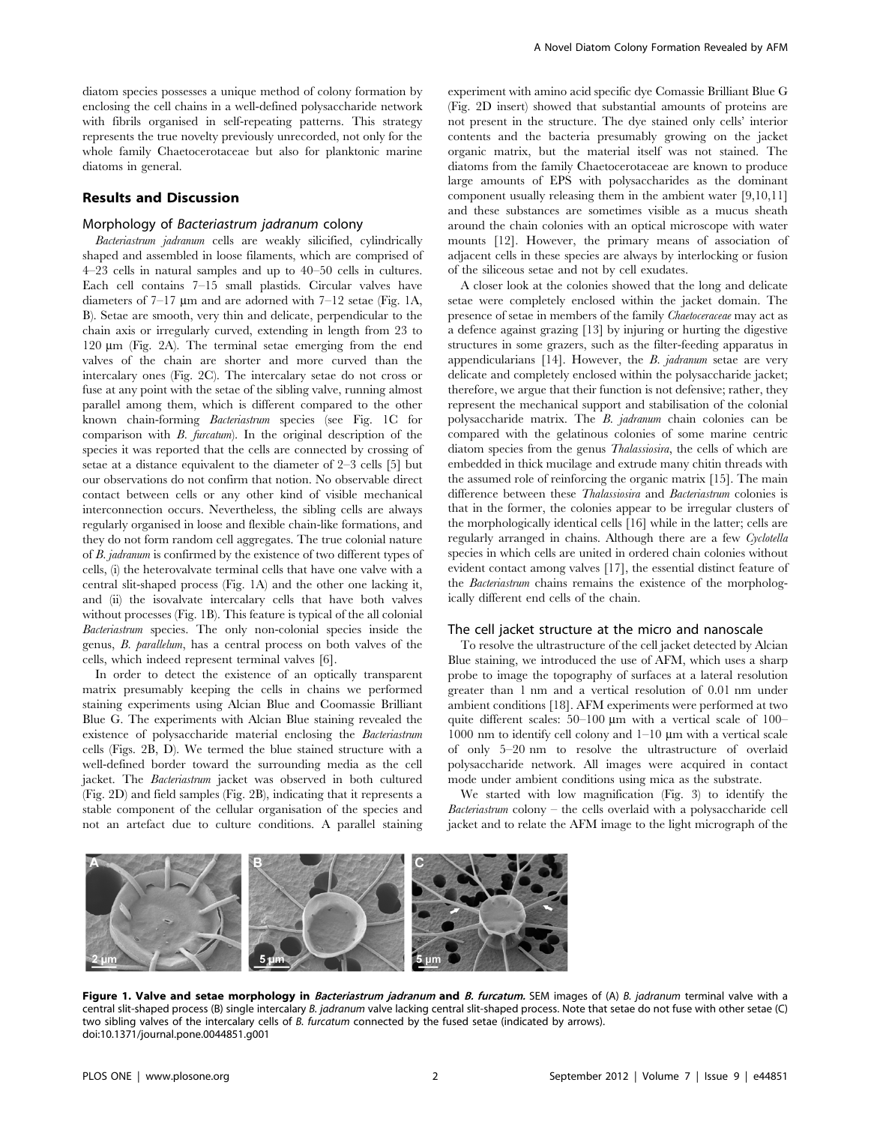diatom species possesses a unique method of colony formation by enclosing the cell chains in a well-defined polysaccharide network with fibrils organised in self-repeating patterns. This strategy represents the true novelty previously unrecorded, not only for the whole family Chaetocerotaceae but also for planktonic marine diatoms in general.

# Results and Discussion

#### Morphology of Bacteriastrum jadranum colony

Bacteriastrum jadranum cells are weakly silicified, cylindrically shaped and assembled in loose filaments, which are comprised of 4–23 cells in natural samples and up to 40–50 cells in cultures. Each cell contains 7–15 small plastids. Circular valves have diameters of  $7-17$  µm and are adorned with  $7-12$  setae (Fig. 1A, B). Setae are smooth, very thin and delicate, perpendicular to the chain axis or irregularly curved, extending in length from 23 to 120  $\mu$ m (Fig. 2A). The terminal setae emerging from the end valves of the chain are shorter and more curved than the intercalary ones (Fig. 2C). The intercalary setae do not cross or fuse at any point with the setae of the sibling valve, running almost parallel among them, which is different compared to the other known chain-forming Bacteriastrum species (see Fig. 1C for comparison with B. furcatum). In the original description of the species it was reported that the cells are connected by crossing of setae at a distance equivalent to the diameter of 2–3 cells [5] but our observations do not confirm that notion. No observable direct contact between cells or any other kind of visible mechanical interconnection occurs. Nevertheless, the sibling cells are always regularly organised in loose and flexible chain-like formations, and they do not form random cell aggregates. The true colonial nature of B. jadranum is confirmed by the existence of two different types of cells, (i) the heterovalvate terminal cells that have one valve with a central slit-shaped process (Fig. 1A) and the other one lacking it, and (ii) the isovalvate intercalary cells that have both valves without processes (Fig. 1B). This feature is typical of the all colonial Bacteriastrum species. The only non-colonial species inside the genus, B. parallelum, has a central process on both valves of the cells, which indeed represent terminal valves [6].

In order to detect the existence of an optically transparent matrix presumably keeping the cells in chains we performed staining experiments using Alcian Blue and Coomassie Brilliant Blue G. The experiments with Alcian Blue staining revealed the existence of polysaccharide material enclosing the Bacteriastrum cells (Figs. 2B, D). We termed the blue stained structure with a well-defined border toward the surrounding media as the cell jacket. The Bacteriastrum jacket was observed in both cultured (Fig. 2D) and field samples (Fig. 2B), indicating that it represents a stable component of the cellular organisation of the species and not an artefact due to culture conditions. A parallel staining experiment with amino acid specific dye Comassie Brilliant Blue G (Fig. 2D insert) showed that substantial amounts of proteins are not present in the structure. The dye stained only cells' interior contents and the bacteria presumably growing on the jacket organic matrix, but the material itself was not stained. The diatoms from the family Chaetocerotaceae are known to produce large amounts of EPS with polysaccharides as the dominant component usually releasing them in the ambient water [9,10,11] and these substances are sometimes visible as a mucus sheath around the chain colonies with an optical microscope with water mounts [12]. However, the primary means of association of adjacent cells in these species are always by interlocking or fusion of the siliceous setae and not by cell exudates.

A closer look at the colonies showed that the long and delicate setae were completely enclosed within the jacket domain. The presence of setae in members of the family Chaetoceraceae may act as a defence against grazing [13] by injuring or hurting the digestive structures in some grazers, such as the filter-feeding apparatus in appendicularians  $[14]$ . However, the *B. jadranum* setae are very delicate and completely enclosed within the polysaccharide jacket; therefore, we argue that their function is not defensive; rather, they represent the mechanical support and stabilisation of the colonial polysaccharide matrix. The B. jadranum chain colonies can be compared with the gelatinous colonies of some marine centric diatom species from the genus Thalassiosira, the cells of which are embedded in thick mucilage and extrude many chitin threads with the assumed role of reinforcing the organic matrix [15]. The main difference between these Thalassiosira and Bacteriastrum colonies is that in the former, the colonies appear to be irregular clusters of the morphologically identical cells [16] while in the latter; cells are regularly arranged in chains. Although there are a few Cyclotella species in which cells are united in ordered chain colonies without evident contact among valves [17], the essential distinct feature of the Bacteriastrum chains remains the existence of the morphologically different end cells of the chain.

#### The cell jacket structure at the micro and nanoscale

To resolve the ultrastructure of the cell jacket detected by Alcian Blue staining, we introduced the use of AFM, which uses a sharp probe to image the topography of surfaces at a lateral resolution greater than 1 nm and a vertical resolution of 0.01 nm under ambient conditions [18]. AFM experiments were performed at two quite different scales:  $50-100 \mu m$  with a vertical scale of  $100-$ 1000 nm to identify cell colony and  $1-10 \mu m$  with a vertical scale of only 5–20 nm to resolve the ultrastructure of overlaid polysaccharide network. All images were acquired in contact mode under ambient conditions using mica as the substrate.

We started with low magnification (Fig. 3) to identify the Bacteriastrum colony – the cells overlaid with a polysaccharide cell jacket and to relate the AFM image to the light micrograph of the



Figure 1. Valve and setae morphology in Bacteriastrum jadranum and B. furcatum. SEM images of (A) B. jadranum terminal valve with a central slit-shaped process (B) single intercalary B. jadranum valve lacking central slit-shaped process. Note that setae do not fuse with other setae (C) two sibling valves of the intercalary cells of B. furcatum connected by the fused setae (indicated by arrows). doi:10.1371/journal.pone.0044851.g001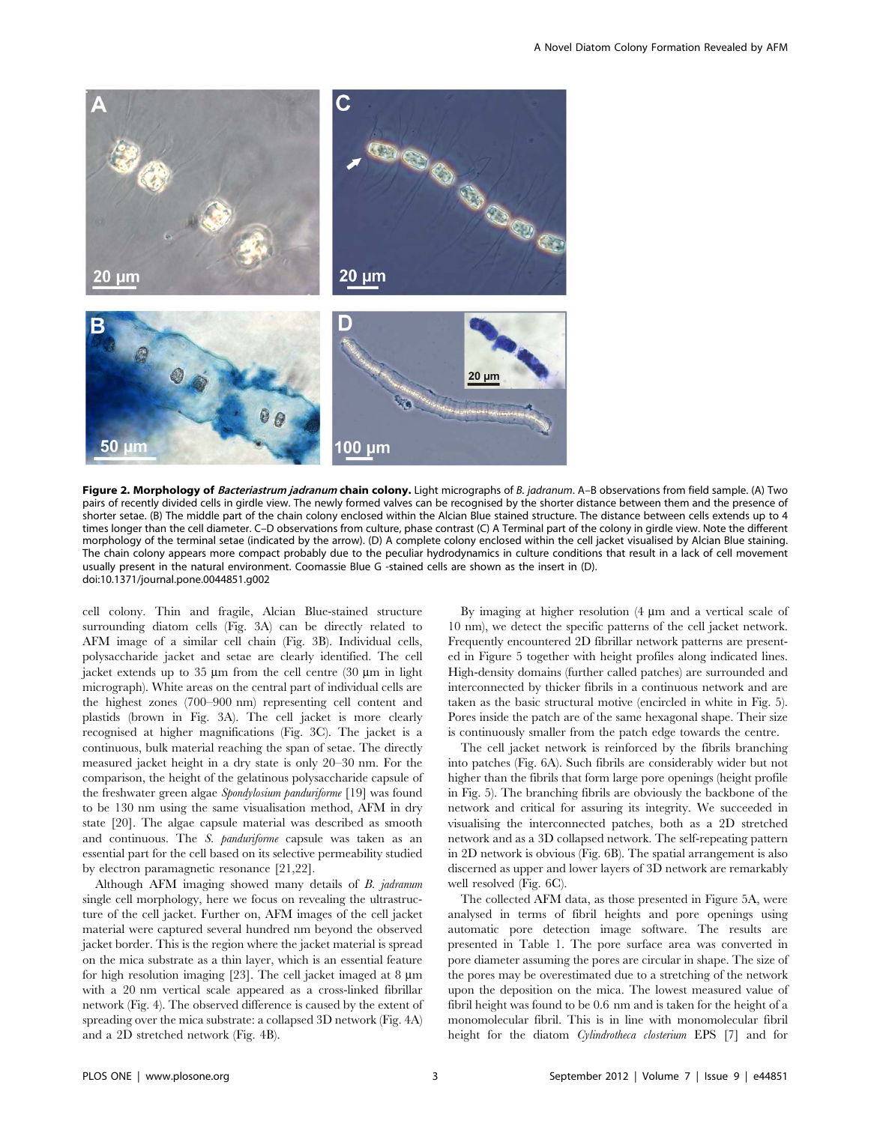

Figure 2. Morphology of Bacteriastrum jadranum chain colony. Light micrographs of B. jadranum. A–B observations from field sample. (A) Two pairs of recently divided cells in girdle view. The newly formed valves can be recognised by the shorter distance between them and the presence of shorter setae. (B) The middle part of the chain colony enclosed within the Alcian Blue stained structure. The distance between cells extends up to 4 times longer than the cell diameter. C–D observations from culture, phase contrast (C) A Terminal part of the colony in girdle view. Note the different morphology of the terminal setae (indicated by the arrow). (D) A complete colony enclosed within the cell jacket visualised by Alcian Blue staining. The chain colony appears more compact probably due to the peculiar hydrodynamics in culture conditions that result in a lack of cell movement usually present in the natural environment. Coomassie Blue G -stained cells are shown as the insert in (D). doi:10.1371/journal.pone.0044851.g002

cell colony. Thin and fragile, Alcian Blue-stained structure surrounding diatom cells (Fig. 3A) can be directly related to AFM image of a similar cell chain (Fig. 3B). Individual cells, polysaccharide jacket and setae are clearly identified. The cell jacket extends up to 35  $\mu$ m from the cell centre (30  $\mu$ m in light micrograph). White areas on the central part of individual cells are the highest zones (700–900 nm) representing cell content and plastids (brown in Fig. 3A). The cell jacket is more clearly recognised at higher magnifications (Fig. 3C). The jacket is a continuous, bulk material reaching the span of setae. The directly measured jacket height in a dry state is only 20–30 nm. For the comparison, the height of the gelatinous polysaccharide capsule of the freshwater green algae Spondylosium panduriforme [19] was found to be 130 nm using the same visualisation method, AFM in dry state [20]. The algae capsule material was described as smooth and continuous. The S. panduriforme capsule was taken as an essential part for the cell based on its selective permeability studied by electron paramagnetic resonance [21,22].

Although AFM imaging showed many details of B. jadranum single cell morphology, here we focus on revealing the ultrastructure of the cell jacket. Further on, AFM images of the cell jacket material were captured several hundred nm beyond the observed jacket border. This is the region where the jacket material is spread on the mica substrate as a thin layer, which is an essential feature for high resolution imaging [23]. The cell jacket imaged at  $8 \mu m$ with a 20 nm vertical scale appeared as a cross-linked fibrillar network (Fig. 4). The observed difference is caused by the extent of spreading over the mica substrate: a collapsed 3D network (Fig. 4A) and a 2D stretched network (Fig. 4B).

By imaging at higher resolution  $(4 \mu m)$  and a vertical scale of 10 nm), we detect the specific patterns of the cell jacket network. Frequently encountered 2D fibrillar network patterns are presented in Figure 5 together with height profiles along indicated lines. High-density domains (further called patches) are surrounded and interconnected by thicker fibrils in a continuous network and are taken as the basic structural motive (encircled in white in Fig. 5). Pores inside the patch are of the same hexagonal shape. Their size is continuously smaller from the patch edge towards the centre.

The cell jacket network is reinforced by the fibrils branching into patches (Fig. 6A). Such fibrils are considerably wider but not higher than the fibrils that form large pore openings (height profile in Fig. 5). The branching fibrils are obviously the backbone of the network and critical for assuring its integrity. We succeeded in visualising the interconnected patches, both as a 2D stretched network and as a 3D collapsed network. The self-repeating pattern in 2D network is obvious (Fig. 6B). The spatial arrangement is also discerned as upper and lower layers of 3D network are remarkably well resolved (Fig. 6C).

The collected AFM data, as those presented in Figure 5A, were analysed in terms of fibril heights and pore openings using automatic pore detection image software. The results are presented in Table 1. The pore surface area was converted in pore diameter assuming the pores are circular in shape. The size of the pores may be overestimated due to a stretching of the network upon the deposition on the mica. The lowest measured value of fibril height was found to be 0.6 nm and is taken for the height of a monomolecular fibril. This is in line with monomolecular fibril height for the diatom *Cylindrotheca closterium* EPS [7] and for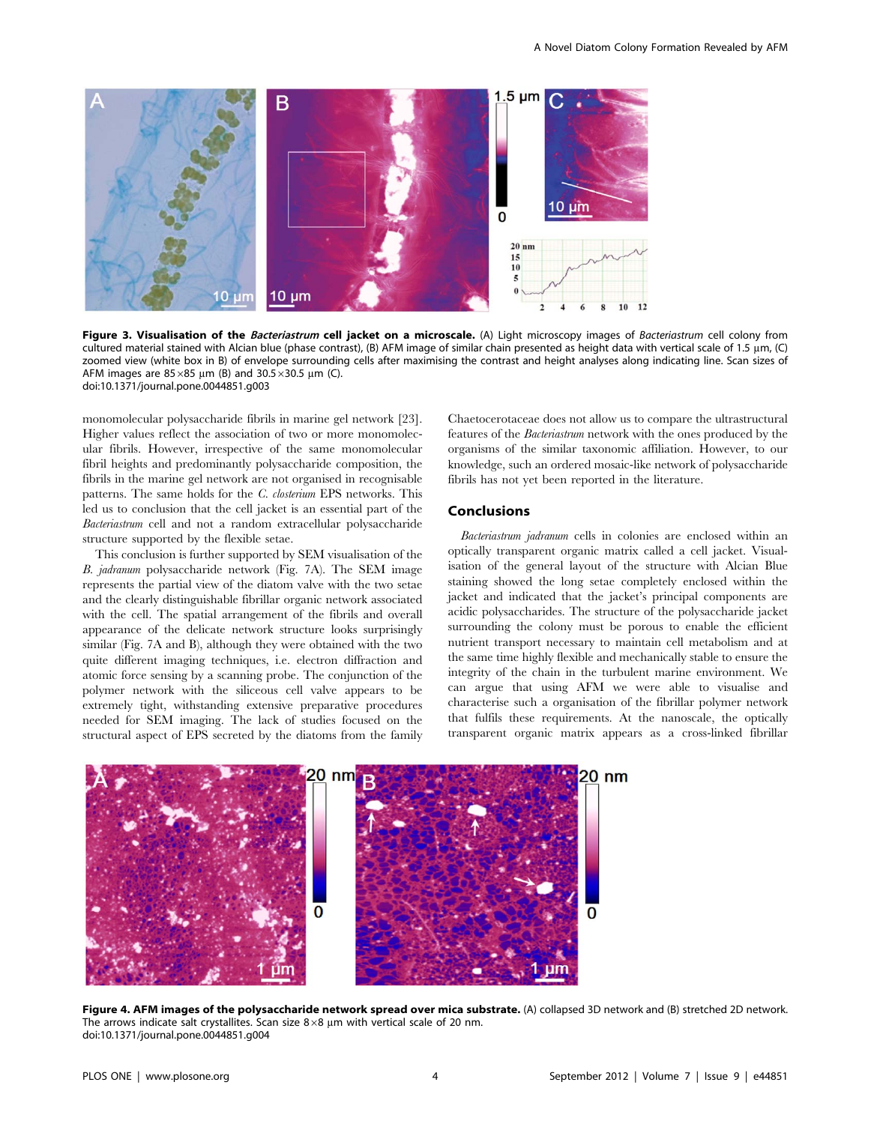

Figure 3. Visualisation of the Bacteriastrum cell jacket on a microscale. (A) Light microscopy images of Bacteriastrum cell colony from cultured material stained with Alcian blue (phase contrast), (B) AFM image of similar chain presented as height data with vertical scale of 1.5 mm, (C) zoomed view (white box in B) of envelope surrounding cells after maximising the contrast and height analyses along indicating line. Scan sizes of AFM images are  $85\times85$  µm (B) and  $30.5\times30.5$  µm (C). doi:10.1371/journal.pone.0044851.g003

monomolecular polysaccharide fibrils in marine gel network [23]. Higher values reflect the association of two or more monomolecular fibrils. However, irrespective of the same monomolecular fibril heights and predominantly polysaccharide composition, the fibrils in the marine gel network are not organised in recognisable patterns. The same holds for the C. closterium EPS networks. This led us to conclusion that the cell jacket is an essential part of the Bacteriastrum cell and not a random extracellular polysaccharide structure supported by the flexible setae.

This conclusion is further supported by SEM visualisation of the B. jadranum polysaccharide network (Fig. 7A). The SEM image represents the partial view of the diatom valve with the two setae and the clearly distinguishable fibrillar organic network associated with the cell. The spatial arrangement of the fibrils and overall appearance of the delicate network structure looks surprisingly similar (Fig. 7A and B), although they were obtained with the two quite different imaging techniques, i.e. electron diffraction and atomic force sensing by a scanning probe. The conjunction of the polymer network with the siliceous cell valve appears to be extremely tight, withstanding extensive preparative procedures needed for SEM imaging. The lack of studies focused on the structural aspect of EPS secreted by the diatoms from the family Chaetocerotaceae does not allow us to compare the ultrastructural features of the Bacteriastrum network with the ones produced by the organisms of the similar taxonomic affiliation. However, to our knowledge, such an ordered mosaic-like network of polysaccharide fibrils has not yet been reported in the literature.

# Conclusions

Bacteriastrum jadranum cells in colonies are enclosed within an optically transparent organic matrix called a cell jacket. Visualisation of the general layout of the structure with Alcian Blue staining showed the long setae completely enclosed within the jacket and indicated that the jacket's principal components are acidic polysaccharides. The structure of the polysaccharide jacket surrounding the colony must be porous to enable the efficient nutrient transport necessary to maintain cell metabolism and at the same time highly flexible and mechanically stable to ensure the integrity of the chain in the turbulent marine environment. We can argue that using AFM we were able to visualise and characterise such a organisation of the fibrillar polymer network that fulfils these requirements. At the nanoscale, the optically transparent organic matrix appears as a cross-linked fibrillar



Figure 4. AFM images of the polysaccharide network spread over mica substrate. (A) collapsed 3D network and (B) stretched 2D network. The arrows indicate salt crystallites. Scan size  $8\times8$  µm with vertical scale of 20 nm. doi:10.1371/journal.pone.0044851.g004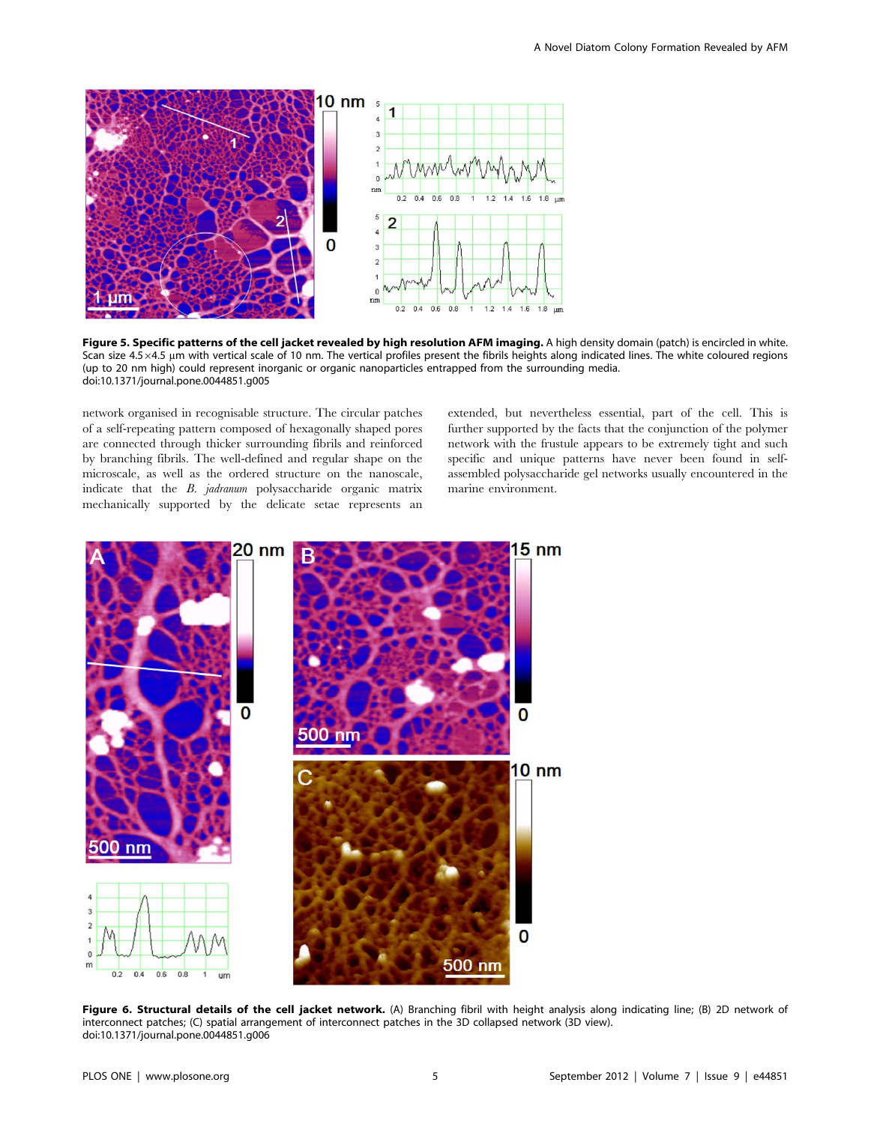

Figure 5. Specific patterns of the cell jacket revealed by high resolution AFM imaging. A high density domain (patch) is encircled in white. Scan size 4.5 ×4.5 µm with vertical scale of 10 nm. The vertical profiles present the fibrils heights along indicated lines. The white coloured regions (up to 20 nm high) could represent inorganic or organic nanoparticles entrapped from the surrounding media. doi:10.1371/journal.pone.0044851.g005

network organised in recognisable structure. The circular patches of a self-repeating pattern composed of hexagonally shaped pores are connected through thicker surrounding fibrils and reinforced by branching fibrils. The well-defined and regular shape on the microscale, as well as the ordered structure on the nanoscale, indicate that the B. jadranum polysaccharide organic matrix mechanically supported by the delicate setae represents an extended, but nevertheless essential, part of the cell. This is further supported by the facts that the conjunction of the polymer network with the frustule appears to be extremely tight and such specific and unique patterns have never been found in selfassembled polysaccharide gel networks usually encountered in the marine environment.



Figure 6. Structural details of the cell jacket network. (A) Branching fibril with height analysis along indicating line; (B) 2D network of interconnect patches; (C) spatial arrangement of interconnect patches in the 3D collapsed network (3D view). doi:10.1371/journal.pone.0044851.g006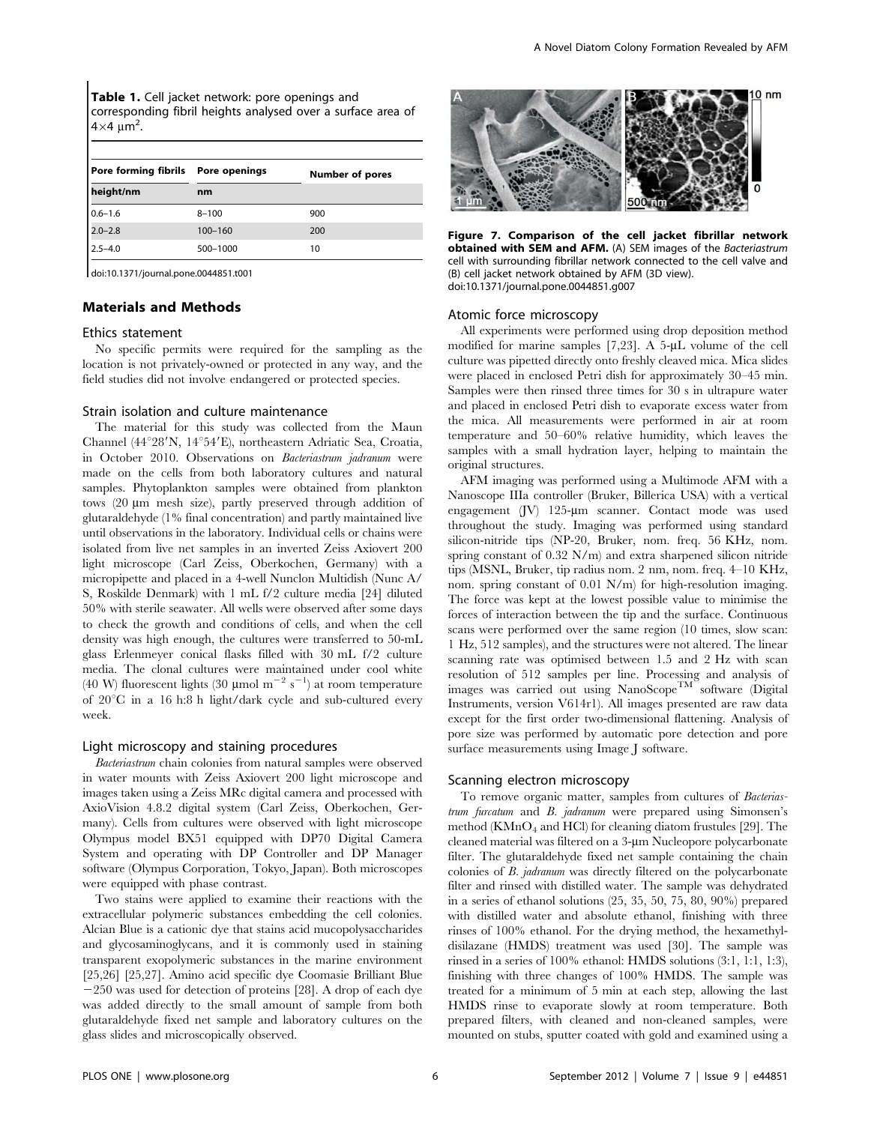Table 1. Cell jacket network: pore openings and corresponding fibril heights analysed over a surface area of  $4\times4 \mu m^2$ .

| Pore forming fibrils  Pore openings<br>height/nm |             | <b>Number of pores</b> |
|--------------------------------------------------|-------------|------------------------|
|                                                  | nm          |                        |
| $0.6 - 1.6$                                      | $8 - 100$   | 900                    |
| $2.0 - 2.8$                                      | $100 - 160$ | 200                    |
| $2.5 - 4.0$                                      | 500-1000    | 10                     |

doi:10.1371/journal.pone.0044851.t001

# Materials and Methods

#### Ethics statement

No specific permits were required for the sampling as the location is not privately-owned or protected in any way, and the field studies did not involve endangered or protected species.

#### Strain isolation and culture maintenance

The material for this study was collected from the Maun Channel (44°28'N, 14°54'E), northeastern Adriatic Sea, Croatia, in October 2010. Observations on Bacteriastrum jadranum were made on the cells from both laboratory cultures and natural samples. Phytoplankton samples were obtained from plankton tows (20  $\mu$ m mesh size), partly preserved through addition of glutaraldehyde (1% final concentration) and partly maintained live until observations in the laboratory. Individual cells or chains were isolated from live net samples in an inverted Zeiss Axiovert 200 light microscope (Carl Zeiss, Oberkochen, Germany) with a micropipette and placed in a 4-well Nunclon Multidish (Nunc A/ S, Roskilde Denmark) with 1 mL f/2 culture media [24] diluted 50% with sterile seawater. All wells were observed after some days to check the growth and conditions of cells, and when the cell density was high enough, the cultures were transferred to 50-mL glass Erlenmeyer conical flasks filled with 30 mL f/2 culture media. The clonal cultures were maintained under cool white (40 W) fluorescent lights (30 µmol m<sup>-2</sup> s<sup>-1</sup>) at room temperature of  $20^{\circ}$ C in a 16 h:8 h light/dark cycle and sub-cultured every week.

#### Light microscopy and staining procedures

Bacteriastrum chain colonies from natural samples were observed in water mounts with Zeiss Axiovert 200 light microscope and images taken using a Zeiss MRc digital camera and processed with AxioVision 4.8.2 digital system (Carl Zeiss, Oberkochen, Germany). Cells from cultures were observed with light microscope Olympus model BX51 equipped with DP70 Digital Camera System and operating with DP Controller and DP Manager software (Olympus Corporation, Tokyo, Japan). Both microscopes were equipped with phase contrast.

Two stains were applied to examine their reactions with the extracellular polymeric substances embedding the cell colonies. Alcian Blue is a cationic dye that stains acid mucopolysaccharides and glycosaminoglycans, and it is commonly used in staining transparent exopolymeric substances in the marine environment [25,26] [25,27]. Amino acid specific dye Coomasie Brilliant Blue  $-250$  was used for detection of proteins [28]. A drop of each dye was added directly to the small amount of sample from both glutaraldehyde fixed net sample and laboratory cultures on the glass slides and microscopically observed.



Figure 7. Comparison of the cell jacket fibrillar network obtained with SEM and AFM. (A) SEM images of the Bacteriastrum cell with surrounding fibrillar network connected to the cell valve and (B) cell jacket network obtained by AFM (3D view). doi:10.1371/journal.pone.0044851.g007

#### Atomic force microscopy

All experiments were performed using drop deposition method modified for marine samples  $[7,23]$ . A 5- $\mu$ L volume of the cell culture was pipetted directly onto freshly cleaved mica. Mica slides were placed in enclosed Petri dish for approximately 30–45 min. Samples were then rinsed three times for 30 s in ultrapure water and placed in enclosed Petri dish to evaporate excess water from the mica. All measurements were performed in air at room temperature and 50–60% relative humidity, which leaves the samples with a small hydration layer, helping to maintain the original structures.

AFM imaging was performed using a Multimode AFM with a Nanoscope IIIa controller (Bruker, Billerica USA) with a vertical engagement (JV) 125-um scanner. Contact mode was used throughout the study. Imaging was performed using standard silicon-nitride tips (NP-20, Bruker, nom. freq. 56 KHz, nom. spring constant of 0.32 N/m) and extra sharpened silicon nitride tips (MSNL, Bruker, tip radius nom. 2 nm, nom. freq. 4–10 KHz, nom. spring constant of 0.01 N/m) for high-resolution imaging. The force was kept at the lowest possible value to minimise the forces of interaction between the tip and the surface. Continuous scans were performed over the same region (10 times, slow scan: 1 Hz, 512 samples), and the structures were not altered. The linear scanning rate was optimised between 1.5 and 2 Hz with scan resolution of 512 samples per line. Processing and analysis of images was carried out using NanoScope<sup>TM</sup> software (Digital Instruments, version V614r1). All images presented are raw data except for the first order two-dimensional flattening. Analysis of pore size was performed by automatic pore detection and pore surface measurements using Image J software.

# Scanning electron microscopy

To remove organic matter, samples from cultures of Bacteriastrum furcatum and B. jadranum were prepared using Simonsen's method ( $KMnO<sub>4</sub>$  and HCl) for cleaning diatom frustules [29]. The cleaned material was filtered on a 3-um Nucleopore polycarbonate filter. The glutaraldehyde fixed net sample containing the chain colonies of B. jadranum was directly filtered on the polycarbonate filter and rinsed with distilled water. The sample was dehydrated in a series of ethanol solutions (25, 35, 50, 75, 80, 90%) prepared with distilled water and absolute ethanol, finishing with three rinses of 100% ethanol. For the drying method, the hexamethyldisilazane (HMDS) treatment was used [30]. The sample was rinsed in a series of 100% ethanol: HMDS solutions (3:1, 1:1, 1:3), finishing with three changes of 100% HMDS. The sample was treated for a minimum of 5 min at each step, allowing the last HMDS rinse to evaporate slowly at room temperature. Both prepared filters, with cleaned and non-cleaned samples, were mounted on stubs, sputter coated with gold and examined using a